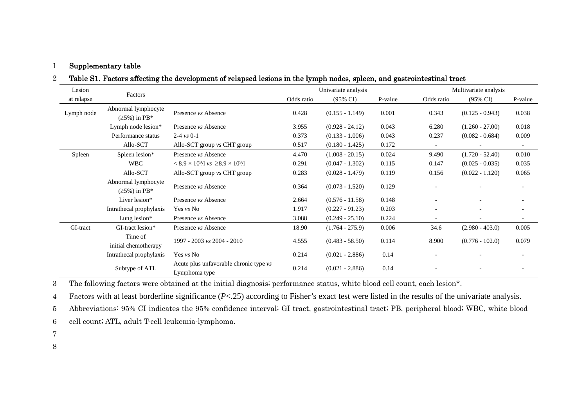#### 1 Supplementary table

### 2 Table S1. Factors affecting the development of relapsed lesions in the lymph nodes, spleen, and gastrointestinal tract

| Lesion     |                                            |                                                         |            | Univariate analysis |         | Multivariate analysis    |                          |         |
|------------|--------------------------------------------|---------------------------------------------------------|------------|---------------------|---------|--------------------------|--------------------------|---------|
| at relapse | Factors                                    |                                                         | Odds ratio | $(95\% \text{ CI})$ | P-value | Odds ratio               | $(95\% \text{ CI})$      | P-value |
| Lymph node | Abnormal lymphocyte<br>$(25\%)$ in PB*     | Presence vs Absence                                     | 0.428      | $(0.155 - 1.149)$   | 0.001   | 0.343                    | $(0.125 - 0.943)$        | 0.038   |
|            | Lymph node lesion*                         | Presence <i>vs</i> Absence                              | 3.955      | $(0.928 - 24.12)$   | 0.043   | 6.280                    | $(1.260 - 27.00)$        | 0.018   |
|            | Performance status                         | 2-4 $\nu s$ 0-1                                         | 0.373      | $(0.133 - 1.006)$   | 0.043   | 0.237                    | $(0.082 - 0.684)$        | 0.009   |
|            | Allo-SCT                                   | Allo-SCT group vs CHT group                             | 0.517      | $(0.180 - 1.425)$   | 0.172   |                          |                          |         |
| Spleen     | Spleen lesion*                             | Presence vs Absence                                     | 4.470      | $(1.008 - 20.15)$   | 0.024   | 9.490                    | $(1.720 - 52.40)$        | 0.010   |
|            | <b>WBC</b>                                 | $< 8.9 \times 10^{9}$ /l vs $\geq 8.9 \times 10^{9}$ /l | 0.291      | $(0.047 - 1.302)$   | 0.115   | 0.147                    | $(0.025 - 0.035)$        | 0.035   |
|            | Allo-SCT                                   | Allo-SCT group vs CHT group                             | 0.283      | $(0.028 - 1.479)$   | 0.119   | 0.156                    | $(0.022 - 1.120)$        | 0.065   |
|            | Abnormal lymphocyte<br>$(\geq 5\%)$ in PB* | Presence <i>vs</i> Absence                              | 0.364      | $(0.073 - 1.520)$   | 0.129   |                          |                          |         |
|            | Liver lesion*                              | Presence <i>vs</i> Absence                              | 2.664      | $(0.576 - 11.58)$   | 0.148   |                          |                          |         |
|            | Intrathecal prophylaxis                    | Yes vs No                                               | 1.917      | $(0.227 - 91.23)$   | 0.203   |                          |                          |         |
|            | Lung lesion $*$                            | Presence vs Absence                                     | 3.088      | $(0.249 - 25.10)$   | 0.224   | $\overline{\phantom{a}}$ | $\overline{\phantom{a}}$ |         |
| GI-tract   | GI-tract lesion*                           | Presence vs Absence                                     | 18.90      | $(1.764 - 275.9)$   | 0.006   | 34.6                     | $(2.980 - 403.0)$        | 0.005   |
|            | Time of<br>initial chemotherapy            | 1997 - 2003 vs 2004 - 2010                              | 4.555      | $(0.483 - 58.50)$   | 0.114   | 8.900                    | $(0.776 - 102.0)$        | 0.079   |
|            | Intrathecal prophylaxis                    | Yes vs No                                               | 0.214      | $(0.021 - 2.886)$   | 0.14    |                          |                          |         |
|            | Subtype of ATL                             | Acute plus unfavorable chronic type vs<br>Lymphoma type | 0.214      | $(0.021 - 2.886)$   | 0.14    |                          |                          |         |

3 The following factors were obtained at the initial diagnosis; performance status, white blood cell count, each lesion\*.

4 Factors with at least borderline significance (*P*<.25) according to Fisher's exact test were listed in the results of the univariate analysis.

5 Abbreviations: 95% CI indicates the 95% confidence interval; GI tract, gastrointestinal tract; PB, peripheral blood; WBC, white blood

6 cell count; ATL, adult T-cell leukemia-lymphoma.

7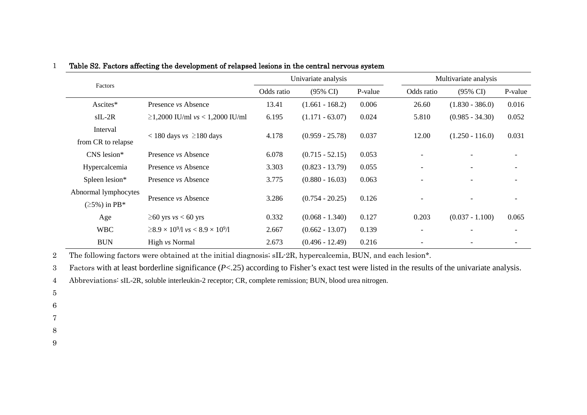|                      |                                                                             | Univariate analysis |                     | Multivariate analysis |                          |                          |         |
|----------------------|-----------------------------------------------------------------------------|---------------------|---------------------|-----------------------|--------------------------|--------------------------|---------|
| Factors              |                                                                             | Odds ratio          | $(95\% \text{ CI})$ | P-value               | Odds ratio               | $(95\% \text{ CI})$      | P-value |
| Ascites*             | Presence vs Absence                                                         | 13.41               | $(1.661 - 168.2)$   | 0.006                 | 26.60                    | $(1.830 - 386.0)$        | 0.016   |
| $sIL-2R$             | $\geq$ 1,2000 IU/ml <i>vs</i> < 1,2000 IU/ml                                | 6.195               | $(1.171 - 63.07)$   | 0.024                 | 5.810                    | $(0.985 - 34.30)$        | 0.052   |
| Interval             |                                                                             | 4.178               | $(0.959 - 25.78)$   | 0.037                 |                          |                          |         |
| from CR to relapse   | $<$ 180 days vs $\geq$ 180 days                                             |                     |                     |                       | 12.00                    | $(1.250 - 116.0)$        | 0.031   |
| CNS lesion*          | Presence <i>vs</i> Absence                                                  | 6.078               | $(0.715 - 52.15)$   | 0.053                 | $\overline{\phantom{a}}$ |                          |         |
| Hypercalcemia        | Presence <i>vs</i> Absence                                                  | 3.303               | $(0.823 - 13.79)$   | 0.055                 | $\overline{\phantom{a}}$ | $\overline{\phantom{a}}$ |         |
| Spleen lesion*       | Presence <i>vs</i> Absence                                                  | 3.775               | $(0.880 - 16.03)$   | 0.063                 | $\overline{\phantom{0}}$ | $\overline{\phantom{0}}$ |         |
| Abnormal lymphocytes |                                                                             |                     |                     |                       |                          |                          |         |
| $(25\%)$ in PB*      | Presence <i>vs</i> Absence                                                  | 3.286               | $(0.754 - 20.25)$   | 0.126                 | $\overline{\phantom{0}}$ |                          |         |
| Age                  | $\geq$ 60 yrs <i>vs</i> < 60 yrs                                            | 0.332               | $(0.068 - 1.340)$   | 0.127                 | 0.203                    | $(0.037 - 1.100)$        | 0.065   |
| <b>WBC</b>           | $\geq$ 8.9 $\times$ 10 <sup>9</sup> /l vs < 8.9 $\times$ 10 <sup>9</sup> /l | 2.667               | $(0.662 - 13.07)$   | 0.139                 | $\overline{\phantom{a}}$ |                          |         |
| <b>BUN</b>           | High vs Normal                                                              | 2.673               | $(0.496 - 12.49)$   | 0.216                 |                          |                          |         |

## 1 Table S2. Factors affecting the development of relapsed lesions in the central nervous system

2 The following factors were obtained at the initial diagnosis; sIL-2R, hypercalcemia, BUN, and each lesion\*.

3 Factors with at least borderline significance (*P*<.25) according to Fisher's exact test were listed in the results of the univariate analysis.

4 Abbreviations: sIL-2R, soluble interleukin-2 receptor; CR, complete remission; BUN, blood urea nitrogen.

5

- 6
- 7
- 8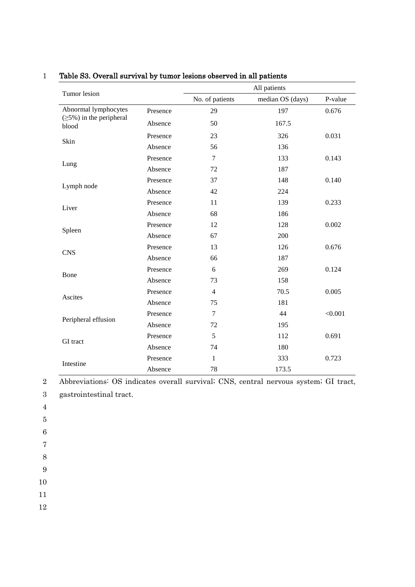| Tumor lesion                            |          | All patients    |                  |         |  |  |  |
|-----------------------------------------|----------|-----------------|------------------|---------|--|--|--|
|                                         |          | No. of patients | median OS (days) | P-value |  |  |  |
| Abnormal lymphocytes                    | Presence | 29              | 197              | 0.676   |  |  |  |
| $(\geq 5\%)$ in the peripheral<br>blood | Absence  | 50              | 167.5            |         |  |  |  |
| Skin                                    | Presence | 23              | 326              | 0.031   |  |  |  |
|                                         | Absence  | 56              | 136              |         |  |  |  |
| Lung                                    | Presence | $\overline{7}$  | 133              | 0.143   |  |  |  |
|                                         | Absence  | 72              | 187              |         |  |  |  |
| Lymph node                              | Presence | 37              | 148              | 0.140   |  |  |  |
|                                         | Absence  | 42              | 224              |         |  |  |  |
| Liver                                   | Presence | 11              | 139              | 0.233   |  |  |  |
|                                         | Absence  | 68              | 186              |         |  |  |  |
|                                         | Presence | 12              | 128              | 0.002   |  |  |  |
| Spleen                                  | Absence  | 67              | 200              |         |  |  |  |
| <b>CNS</b>                              | Presence | 13              | 126              | 0.676   |  |  |  |
|                                         | Absence  | 66              | 187              |         |  |  |  |
|                                         | Presence | 6               | 269              | 0.124   |  |  |  |
| Bone                                    | Absence  | 73              | 158              |         |  |  |  |
|                                         | Presence | $\overline{4}$  | 70.5             | 0.005   |  |  |  |
| Ascites                                 | Absence  | 75              | 181              |         |  |  |  |
|                                         | Presence | $\tau$          | 44               | < 0.001 |  |  |  |
| Peripheral effusion                     | Absence  | 72              | 195              |         |  |  |  |
|                                         | Presence | 5               | 112              | 0.691   |  |  |  |
| GI tract                                | Absence  | 74              | 180              |         |  |  |  |
|                                         | Presence | $\mathbf{1}$    | 333              | 0.723   |  |  |  |
| Intestine                               | Absence  | 78              | 173.5            |         |  |  |  |

# 1 Table S3. Overall survival by tumor lesions observed in all patients

2 Abbreviations: OS indicates overall survival; CNS, central nervous system; GI tract, 3 gastrointestinal tract.

4

5

6

7 8

9

10

11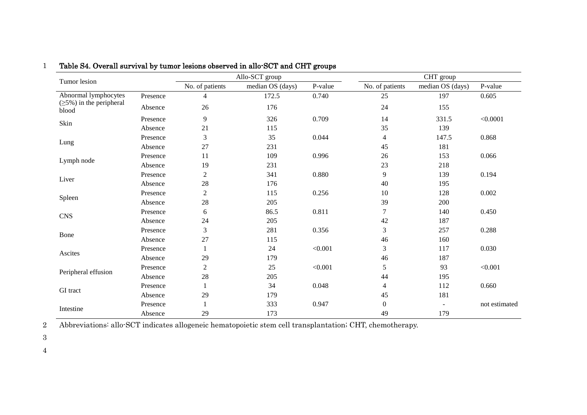| Tumor lesion                            |          | Allo-SCT group  |                  | CHT group |                 |                          |               |
|-----------------------------------------|----------|-----------------|------------------|-----------|-----------------|--------------------------|---------------|
|                                         |          | No. of patients | median OS (days) | P-value   | No. of patients | median OS (days)         | P-value       |
| Abnormal lymphocytes                    | Presence | 4               | 172.5            | 0.740     | 25              | 197                      | 0.605         |
| $(\geq 5\%)$ in the peripheral<br>blood | Absence  | 26              | 176              |           | 24              | 155                      |               |
| Skin                                    | Presence | $\mathbf{9}$    | 326              | 0.709     | 14              | 331.5                    | < 0.0001      |
|                                         | Absence  | 21              | 115              |           | 35              | 139                      |               |
|                                         | Presence | $\mathfrak{Z}$  | 35               | 0.044     | $\overline{4}$  | 147.5                    | 0.868         |
| Lung                                    | Absence  | 27              | 231              |           | 45              | 181                      |               |
|                                         | Presence | 11              | 109              | 0.996     | 26              | 153                      | 0.066         |
| Lymph node                              | Absence  | 19              | 231              |           | 23              | 218                      |               |
| Liver                                   | Presence | $\sqrt{2}$      | 341              | 0.880     | 9               | 139                      | 0.194         |
|                                         | Absence  | 28              | 176              |           | 40              | 195                      |               |
|                                         | Presence | $\sqrt{2}$      | 115              | 0.256     | 10              | 128                      | 0.002         |
| Spleen                                  | Absence  | 28              | 205              |           | 39              | 200                      |               |
| <b>CNS</b>                              | Presence | 6               | 86.5             | 0.811     | 7               | 140                      | 0.450         |
|                                         | Absence  | 24              | 205              |           | 42              | 187                      |               |
|                                         | Presence | 3               | 281              | 0.356     | 3               | 257                      | 0.288         |
| Bone                                    | Absence  | 27              | 115              |           | 46              | 160                      |               |
|                                         | Presence | $\mathbf{1}$    | 24               | < 0.001   | 3               | 117                      | 0.030         |
| Ascites                                 | Absence  | 29              | 179              |           | 46              | 187                      |               |
|                                         | Presence | $\mathfrak{2}$  | 25               | < 0.001   | 5               | 93                       | < 0.001       |
| Peripheral effusion                     | Absence  | 28              | 205              |           | 44              | 195                      |               |
|                                         | Presence | 1               | 34               | 0.048     | $\overline{4}$  | 112                      | 0.660         |
| GI tract                                | Absence  | 29              | 179              |           | 45              | 181                      |               |
|                                         | Presence | $\mathbf{1}$    | 333              | 0.947     | $\theta$        | $\overline{\phantom{a}}$ | not estimated |
| Intestine                               | Absence  | 29              | 173              |           | 49              | 179                      |               |

# 1 Table S4. Overall survival by tumor lesions observed in allo-SCT and CHT groups

2 Abbreviations: allo-SCT indicates allogeneic hematopoietic stem cell transplantation; CHT, chemotherapy.

3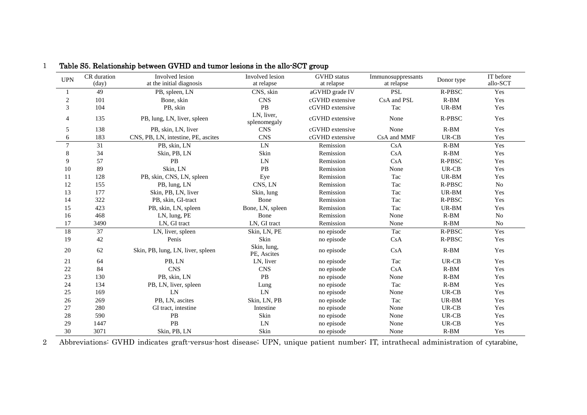| <b>UPN</b>     | CR duration<br>(day) | Involved lesion<br>at the initial diagnosis | Involved lesion<br>at relapse | <b>GVHD</b> status<br>at relapse | Immunosuppressants<br>at relapse | Donor type    | IT before<br>allo-SCT |
|----------------|----------------------|---------------------------------------------|-------------------------------|----------------------------------|----------------------------------|---------------|-----------------------|
|                | 49                   | PB, spleen, LN                              | CNS, skin                     | aGVHD grade IV                   | <b>PSL</b>                       | <b>R-PBSC</b> | Yes                   |
| $\overline{c}$ | 101                  | Bone, skin                                  | <b>CNS</b>                    | cGVHD extensive                  | CsA and PSL                      | $R-BM$        | Yes                   |
| 3              | 104                  | PB, skin                                    | PB                            | cGVHD extensive                  | Tac                              | UR-BM         | Yes                   |
| 4              | 135                  | PB, lung, LN, liver, spleen                 | LN, liver,<br>splenomegaly    | cGVHD extensive                  | None                             | R-PBSC        | Yes                   |
| 5              | 138                  | PB, skin, LN, liver                         | <b>CNS</b>                    | cGVHD extensive                  | None                             | $R-BM$        | Yes                   |
| 6              | 183                  | CNS, PB, LN, intestine, PE, ascites         | <b>CNS</b>                    | cGVHD extensive                  | CsA and MMF                      | UR-CB         | Yes                   |
| $\overline{7}$ | 31                   | PB, skin, LN                                | LN                            | Remission                        | CsA                              | $R-BM$        | Yes                   |
| 8              | 34                   | Skin, PB, LN                                | Skin                          | Remission                        | CsA                              | $R-BM$        | Yes                   |
| 9              | 57                   | PB                                          | LN                            | Remission                        | CsA                              | R-PBSC        | Yes                   |
| 10             | 89                   | Skin, LN                                    | $\mathbf{PB}$                 | Remission                        | None                             | UR-CB         | Yes                   |
| 11             | 128                  | PB, skin, CNS, LN, spleen                   | Eye                           | Remission                        | Tac                              | UR-BM         | Yes                   |
| 12             | 155                  | PB, lung, LN                                | CNS, LN                       | Remission                        | Tac                              | R-PBSC        | No                    |
| 13             | 177                  | Skin, PB, LN, liver                         | Skin, lung                    | Remission                        | Tac                              | UR-BM         | Yes                   |
| 14             | 322                  | PB, skin, GI-tract                          | Bone                          | Remission                        | Tac                              | R-PBSC        | Yes                   |
| 15             | 423                  | PB, skin, LN, spleen                        | Bone, LN, spleen              | Remission                        | Tac                              | UR-BM         | Yes                   |
| 16             | 468                  | LN, lung, PE                                | Bone                          | Remission                        | None                             | $R-BM$        | No                    |
| 17             | 3490                 | LN, GI tract                                | LN, GI tract                  | Remission                        | None                             | $R-BM$        | $\rm No$              |
| 18             | 37                   | LN, liver, spleen                           | Skin, LN, PE                  | no episode                       | Tac                              | <b>R-PBSC</b> | Yes                   |
| 19             | 42                   | Penis                                       | Skin                          | no episode                       | CsA                              | R-PBSC        | Yes                   |
| 20             | 62                   | Skin, PB, lung, LN, liver, spleen           | Skin, lung,<br>PE, Ascites    | no episode                       | CsA                              | $R-BM$        | Yes                   |
| 21             | 64                   | PB, LN                                      | LN, liver                     | no episode                       | Tac                              | UR-CB         | Yes                   |
| 22             | 84                   | <b>CNS</b>                                  | <b>CNS</b>                    | no episode                       | CsA                              | $R-BM$        | Yes                   |
| 23             | 130                  | PB, skin, LN                                | <b>PB</b>                     | no episode                       | None                             | $R-BM$        | Yes                   |
| 24             | 134                  | PB, LN, liver, spleen                       | Lung                          | no episode                       | Tac                              | $R-BM$        | Yes                   |
| 25             | 169                  | LN                                          | LN                            | no episode                       | None                             | UR-CB         | Yes                   |
| 26             | 269                  | PB, LN, ascites                             | Skin, LN, PB                  | no episode                       | Tac                              | UR-BM         | Yes                   |
| 27             | 280                  | GI tract, intestine                         | Intestine                     | no episode                       | None                             | UR-CB         | Yes                   |
| 28             | 590                  | PB                                          | Skin                          | no episode                       | None                             | UR-CB         | Yes                   |
| 29             | 1447                 | PB                                          | LN                            | no episode                       | None                             | UR-CB         | Yes                   |
| 30             | 3071                 | Skin, PB, LN                                | Skin                          | no episode                       | None                             | $R-BM$        | Yes                   |

## Table S5. Relationship between GVHD and tumor lesions in the allo-SCT group

Abbreviations: GVHD indicates graft-versus-host disease; UPN, unique patient number; IT, intrathecal administration of cytarabine,